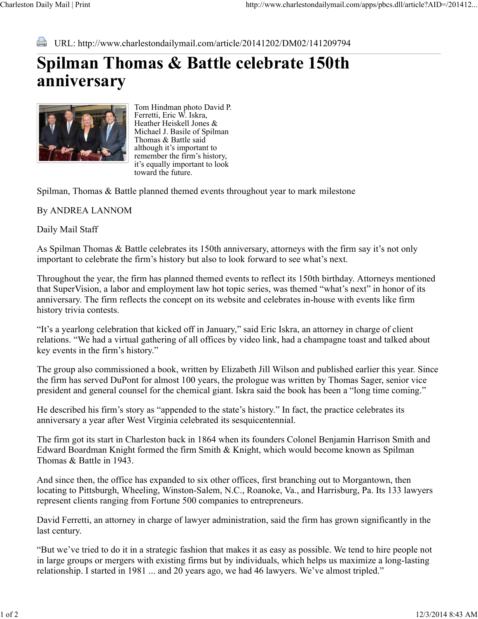URL: http://www.charlestondailymail.com/article/20141202/DM02/141209794

## **Spilman Thomas & Battle celebrate 150th anniversary**



Tom Hindman photo David P. Ferretti, Eric W. Iskra, Heather Heiskell Jones & Michael J. Basile of Spilman Thomas & Battle said although it's important to remember the firm's history, it's equally important to look toward the future.

Spilman, Thomas & Battle planned themed events throughout year to mark milestone

By ANDREA LANNOM

Daily Mail Staff

As Spilman Thomas & Battle celebrates its 150th anniversary, attorneys with the firm say it's not only important to celebrate the firm's history but also to look forward to see what's next.

Throughout the year, the firm has planned themed events to reflect its 150th birthday. Attorneys mentioned that SuperVision, a labor and employment law hot topic series, was themed "what's next" in honor of its anniversary. The firm reflects the concept on its website and celebrates in-house with events like firm history trivia contests.

"It's a yearlong celebration that kicked off in January," said Eric Iskra, an attorney in charge of client relations. "We had a virtual gathering of all offices by video link, had a champagne toast and talked about key events in the firm's history."

The group also commissioned a book, written by Elizabeth Jill Wilson and published earlier this year. Since the firm has served DuPont for almost 100 years, the prologue was written by Thomas Sager, senior vice president and general counsel for the chemical giant. Iskra said the book has been a "long time coming."

He described his firm's story as "appended to the state's history." In fact, the practice celebrates its anniversary a year after West Virginia celebrated its sesquicentennial.

The firm got its start in Charleston back in 1864 when its founders Colonel Benjamin Harrison Smith and Edward Boardman Knight formed the firm Smith & Knight, which would become known as Spilman Thomas & Battle in 1943.

And since then, the office has expanded to six other offices, first branching out to Morgantown, then locating to Pittsburgh, Wheeling, Winston-Salem, N.C., Roanoke, Va., and Harrisburg, Pa. Its 133 lawyers represent clients ranging from Fortune 500 companies to entrepreneurs.

David Ferretti, an attorney in charge of lawyer administration, said the firm has grown significantly in the last century.

"But we've tried to do it in a strategic fashion that makes it as easy as possible. We tend to hire people not in large groups or mergers with existing firms but by individuals, which helps us maximize a long-lasting relationship. I started in 1981 ... and 20 years ago, we had 46 lawyers. We've almost tripled."